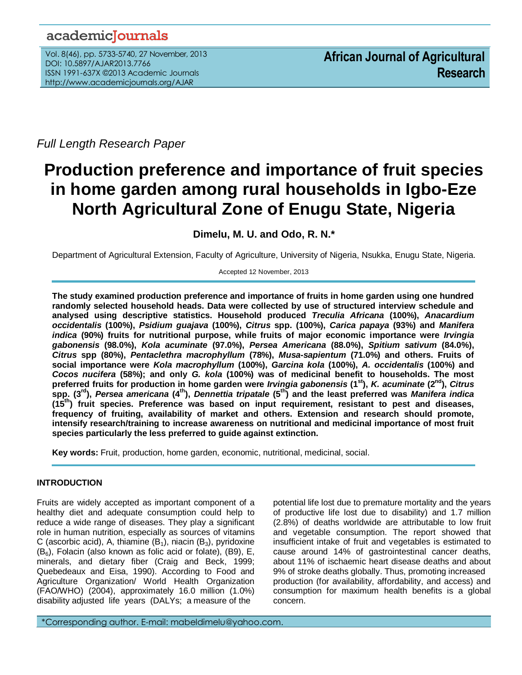# academicJournals

Vol. 8(46), pp. 5733-5740, 27 November, 2013 DOI: 10.5897/AJAR2013.7766 ISSN 1991-637X ©2013 Academic Journals http://www.academicjournals.org/AJAR

*Full Length Research Paper*

# **Production preference and importance of fruit species in home garden among rural households in Igbo-Eze North Agricultural Zone of Enugu State, Nigeria**

**Dimelu, M. U. and Odo, R. N.\***

Department of Agricultural Extension, Faculty of Agriculture, University of Nigeria, Nsukka, Enugu State, Nigeria.

Accepted 12 November, 2013

**The study examined production preference and importance of fruits in home garden using one hundred randomly selected household heads. Data were collected by use of structured interview schedule and analysed using descriptive statistics. Household produced** *Treculia Africana* **(100%),** *Anacardium occidentalis* **(100%),** *Psidium guajava* **(100%),** *Citrus* **spp. (100%),** *Carica papaya* **(93%) and** *Manifera indica* **(90%) fruits for nutritional purpose, while fruits of major economic importance were** *Irvingia gabonensis* **(98.0%),** *Kola acuminate* **(97.0%),** *Persea Americana* **(88.0%),** *Spitium sativum* **(84.0%),**  *Citrus* **spp (80%),** *Pentaclethra macrophyllum* **(78%),** *Musa-sapientum* **(71.0%) and others. Fruits of social importance were** *Kola macrophyllum* **(100%),** *Garcina kola* **(100%),** *A. occidentalis* **(100%) and**  *Cocos nucifera* **(58%); and only** *G. kola* **(100%) was of medicinal benefit to households. The most preferred fruits for production in home garden were** *Irvingia gabonensis* **(1st),** *K. acuminate* **(2nd),** *Citrus* **spp. (3rd),** *Persea americana* **(4th),** *Dennettia tripatale* **(5th) and the least preferred was** *Manifera indica* **(15th) fruit species. Preference was based on input requirement, resistant to pest and diseases, frequency of fruiting, availability of market and others. Extension and research should promote, intensify research/training to increase awareness on nutritional and medicinal importance of most fruit species particularly the less preferred to guide against extinction.**

**Key words:** Fruit, production, home garden, economic, nutritional, medicinal, social.

# **INTRODUCTION**

Fruits are widely accepted as important component of a healthy diet and adequate consumption could help to reduce a wide range of diseases. They play a significant role in human nutrition, especially as sources of vitamins C (ascorbic acid), A, thiamine  $(B_1)$ , niacin  $(B_3)$ , pyridoxine  $(B_6)$ , Folacin (also known as folic acid or folate), (B9), E, minerals, and dietary fiber (Craig and Beck, 1999; Quebedeaux and Eisa, 1990). According to Food and Agriculture Organization/ World Health Organization (FAO/WHO) (2004), approximately 16.0 million (1.0%) disability adjusted life years (DALYs; a measure of the

potential life lost due to premature mortality and the years of productive life lost due to disability) and 1.7 million (2.8%) of deaths worldwide are attributable to low fruit and vegetable consumption. The report showed that insufficient intake of fruit and vegetables is estimated to cause around 14% of gastrointestinal cancer deaths, about 11% of ischaemic heart disease deaths and about 9% of stroke deaths globally. Thus, promoting increased production (for availability, affordability, and access) and consumption for maximum health benefits is a global concern.

\*Corresponding author. E-mail: mabeldimelu@yahoo.com.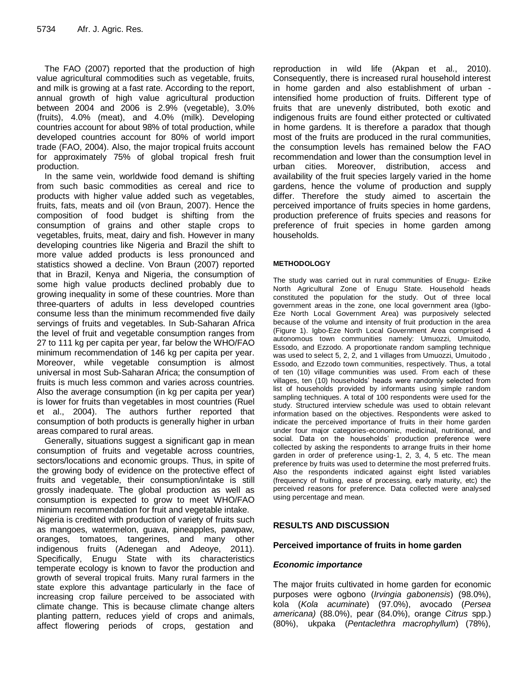The FAO (2007) reported that the production of high value agricultural commodities such as vegetable, fruits, and milk is growing at a fast rate. According to the report, annual growth of high value agricultural production between 2004 and 2006 is 2.9% (vegetable), 3.0% (fruits), 4.0% (meat), and 4.0% (milk). Developing countries account for about 98% of total production, while developed countries account for 80% of world import trade (FAO, 2004). Also, the major tropical fruits account for approximately 75% of global tropical fresh fruit production.

In the same vein, worldwide food demand is shifting from such basic commodities as cereal and rice to products with higher value added such as vegetables, fruits, fats, meats and oil (von Braun, 2007). Hence the composition of food budget is shifting from the consumption of grains and other staple crops to vegetables, fruits, meat, dairy and fish. However in many developing countries like Nigeria and Brazil the shift to more value added products is less pronounced and statistics showed a decline. Von Braun (2007) reported that in Brazil, Kenya and Nigeria, the consumption of some high value products declined probably due to growing inequality in some of these countries. More than three-quarters of adults in less developed countries consume less than the minimum recommended five daily servings of fruits and vegetables. In Sub-Saharan Africa the level of fruit and vegetable consumption ranges from 27 to 111 kg per capita per year, far below the WHO/FAO minimum recommendation of 146 kg per capita per year. Moreover, while vegetable consumption is almost universal in most Sub-Saharan Africa; the consumption of fruits is much less common and varies across countries. Also the average consumption (in kg per capita per year) is lower for fruits than vegetables in most countries (Ruel et al., 2004). The authors further reported that consumption of both products is generally higher in urban areas compared to rural areas.

Generally, situations suggest a significant gap in mean consumption of fruits and vegetable across countries, sectors/locations and economic groups. Thus, in spite of the growing body of evidence on the protective effect of fruits and vegetable, their consumption/intake is still grossly inadequate. The global production as well as consumption is expected to grow to meet WHO/FAO minimum recommendation for fruit and vegetable intake.

Nigeria is credited with production of variety of fruits such as mangoes, watermelon, guava, pineapples, pawpaw, oranges, tomatoes, tangerines, and many other indigenous fruits (Adenegan and Adeoye, 2011). Specifically, Enugu State with its characteristics temperate ecology is known to favor the production and growth of several tropical fruits. Many rural farmers in the state explore this advantage particularly in the face of increasing crop failure perceived to be associated with climate change. This is because climate change alters planting pattern, reduces yield of crops and animals, affect flowering periods of crops, gestation and reproduction in wild life (Akpan et al., 2010). Consequently, there is increased rural household interest in home garden and also establishment of urban intensified home production of fruits. Different type of fruits that are unevenly distributed, both exotic and indigenous fruits are found either protected or cultivated in home gardens. It is therefore a paradox that though most of the fruits are produced in the rural communities, the consumption levels has remained below the FAO recommendation and lower than the consumption level in urban cities. Moreover, distribution, access and availability of the fruit species largely varied in the home gardens, hence the volume of production and supply differ. Therefore the study aimed to ascertain the perceived importance of fruits species in home gardens, production preference of fruits species and reasons for preference of fruit species in home garden among households.

#### **METHODOLOGY**

The study was carried out in rural communities of Enugu- Ezike North Agricultural Zone of Enugu State. Household heads constituted the population for the study. Out of three local government areas in the zone, one local government area (Igbo-Eze North Local Government Area) was purposively selected because of the volume and intensity of fruit production in the area (Figure 1). Igbo-Eze North Local Government Area comprised 4 autonomous town communities namely: Umuozzi, Umuitodo, Essodo, and Ezzodo. A proportionate random sampling technique was used to select 5, 2, 2, and 1 villages from Umuozzi, Umuitodo , Essodo, and Ezzodo town communities, respectively. Thus, a total of ten (10) village communities was used. From each of these villages, ten (10) households' heads were randomly selected from list of households provided by informants using simple random sampling techniques. A total of 100 respondents were used for the study. Structured interview schedule was used to obtain relevant information based on the objectives. Respondents were asked to indicate the perceived importance of fruits in their home garden under four major categories-economic, medicinal, nutritional, and social. Data on the households' production preference were collected by asking the respondents to arrange fruits in their home garden in order of preference using-1, 2, 3, 4, 5 etc. The mean preference by fruits was used to determine the most preferred fruits. Also the respondents indicated against eight listed variables (frequency of fruiting, ease of processing, early maturity, etc) the perceived reasons for preference. Data collected were analysed using percentage and mean.

## **RESULTS AND DISCUSSION**

#### **Perceived importance of fruits in home garden**

#### *Economic importance*

The major fruits cultivated in home garden for economic purposes were ogbono (*Irvingia gabonensis*) (98.0%), kola (*Kola acuminate*) (97.0%), avocado (*Persea americana)* (88.0%), pear (84.0%), orange *Citrus* spp.) (80%), ukpaka (*Pentaclethra macrophyllum*)(78%),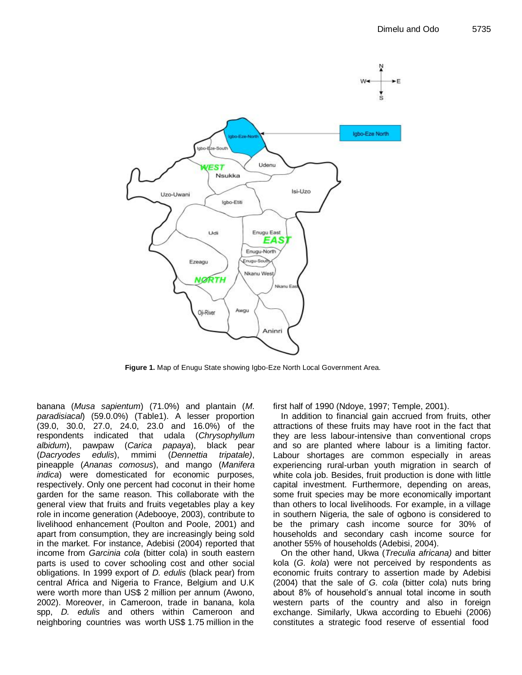

**Figure 1.** Map of Enugu State showing Igbo-Eze North Local Government Area.

banana (*Musa sapientum*) (71.0%) and plantain (*M. paradisiacal*) (59.0.0%) (Table1). A lesser proportion (39.0, 30.0, 27.0, 24.0, 23.0 and 16.0%) of the respondents indicated that udala (*Chrysophyllum albidum*), pawpaw (*Carica papaya*), black pear (*Dacryodes edulis*), mmimi (*Dennettia tripatale)*, pineapple (*Ananas comosus*), and mango (*Manifera indica*) were domesticated for economic purposes, respectively. Only one percent had coconut in their home garden for the same reason. This collaborate with the general view that fruits and fruits vegetables play a key role in income generation (Adebooye, 2003), contribute to livelihood enhancement (Poulton and Poole, 2001) and apart from consumption, they are increasingly being sold in the market. For instance, Adebisi (2004) reported that income from *Garcinia cola* (bitter cola) in south eastern parts is used to cover schooling cost and other social obligations. In 1999 export of *D. edulis* (black pear) from central Africa and Nigeria to France, Belgium and U.K were worth more than US\$ 2 million per annum (Awono, 2002). Moreover, in Cameroon, trade in banana, kola spp, *D. edulis* and others within Cameroon and neighboring countries was worth US\$ 1.75 million in the

first half of 1990 (Ndoye, 1997; Temple, 2001).

In addition to financial gain accrued from fruits, other attractions of these fruits may have root in the fact that they are less labour-intensive than conventional crops and so are planted where labour is a limiting factor. Labour shortages are common especially in areas experiencing rural-urban youth migration in search of white cola job. Besides, fruit production is done with little capital investment. Furthermore, depending on areas, some fruit species may be more economically important than others to local livelihoods. For example, in a village in southern Nigeria, the sale of ogbono is considered to be the primary cash income source for 30% of households and secondary cash income source for another 55% of households (Adebisi, 2004).

On the other hand, Ukwa (*Treculia africana)* and bitter kola (*G. kola*) were not perceived by respondents as economic fruits contrary to assertion made by Adebisi (2004) that the sale of *G. cola* (bitter cola) nuts bring about 8% of household's annual total income in south western parts of the country and also in foreign exchange. Similarly, Ukwa according to Ebuehi (2006) constitutes a strategic food reserve of essential food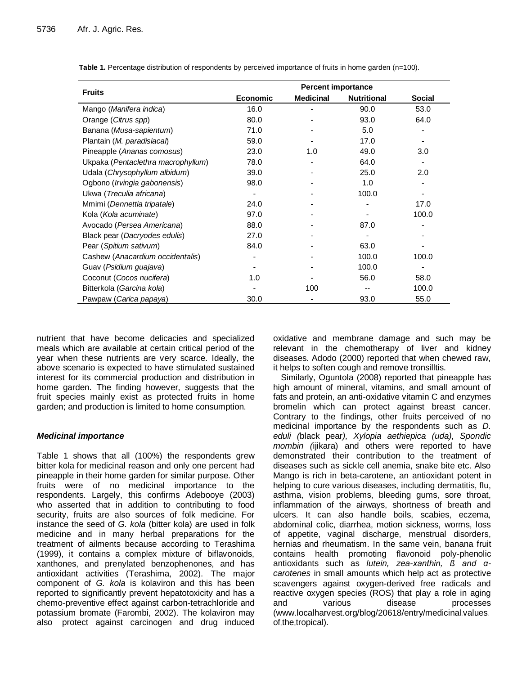|                                       | <b>Percent importance</b> |                  |                    |               |  |  |  |
|---------------------------------------|---------------------------|------------------|--------------------|---------------|--|--|--|
| <b>Fruits</b>                         | <b>Economic</b>           | <b>Medicinal</b> | <b>Nutritional</b> | <b>Social</b> |  |  |  |
| Mango (Manifera indica)               | 16.0                      |                  | 90.0               | 53.0          |  |  |  |
| Orange (Citrus spp)                   | 80.0                      |                  | 93.0               | 64.0          |  |  |  |
| Banana (Musa-sapientum)               | 71.0                      |                  | 5.0                |               |  |  |  |
| Plantain (M. paradisiacal)            | 59.0                      |                  | 17.0               |               |  |  |  |
| Pineapple (Ananas comosus)            | 23.0                      | 1.0              | 49.0               | 3.0           |  |  |  |
| Ukpaka (Pentaclethra macrophyllum)    | 78.0                      |                  | 64.0               |               |  |  |  |
| Udala (Chrysophyllum albidum)         | 39.0                      |                  | 25.0               | 2.0           |  |  |  |
| Ogbono ( <i>Irvingia gabonensis</i> ) | 98.0                      |                  | 1.0                |               |  |  |  |
| Ukwa (Treculia africana)              | $\overline{a}$            |                  | 100.0              |               |  |  |  |
| Mmimi (Dennettia tripatale)           | 24.0                      |                  |                    | 17.0          |  |  |  |
| Kola (Kola acuminate)                 | 97.0                      |                  |                    | 100.0         |  |  |  |
| Avocado (Persea Americana)            | 88.0                      |                  | 87.0               |               |  |  |  |
| Black pear (Dacryodes edulis)         | 27.0                      |                  |                    |               |  |  |  |
| Pear (Spitium sativum)                | 84.0                      |                  | 63.0               |               |  |  |  |
| Cashew (Anacardium occidentalis)      |                           |                  | 100.0              | 100.0         |  |  |  |
| Guav (Psidium guajava)                |                           |                  | 100.0              |               |  |  |  |
| Coconut (Cocos nucifera)              | 1.0                       |                  | 56.0               | 58.0          |  |  |  |
| Bitterkola (Garcina kola)             |                           | 100              |                    | 100.0         |  |  |  |
| Pawpaw (Carica papaya)                | 30.0                      |                  | 93.0               | 55.0          |  |  |  |

**Table 1.** Percentage distribution of respondents by perceived importance of fruits in home garden (n=100).

nutrient that have become delicacies and specialized meals which are available at certain critical period of the year when these nutrients are very scarce. Ideally, the above scenario is expected to have stimulated sustained interest for its commercial production and distribution in home garden. The finding however, suggests that the fruit species mainly exist as protected fruits in home garden; and production is limited to home consumption.

## *Medicinal importance*

Table 1 shows that all (100%) the respondents grew bitter kola for medicinal reason and only one percent had pineapple in their home garden for similar purpose. Other fruits were of no medicinal importance to the respondents. Largely, this confirms Adebooye (2003) who asserted that in addition to contributing to food security, fruits are also sources of folk medicine. For instance the seed of *G. kola* (bitter kola) are used in folk medicine and in many herbal preparations for the treatment of ailments because according to Terashima (1999), it contains a complex mixture of biflavonoids, xanthones, and prenylated benzophenones, and has antioxidant activities (Terashima, 2002). The major component of *G. kola* is kolaviron and this has been reported to significantly prevent hepatotoxicity and has a chemo-preventive effect against carbon-tetrachloride and potassium bromate (Farombi, 2002). The kolaviron may also protect against carcinogen and drug induced oxidative and membrane damage and such may be relevant in the chemotherapy of liver and kidney diseases. Adodo (2000) reported that when chewed raw, it helps to soften cough and remove tronsilltis.

Similarly, Oguntola (2008) reported that pineapple has high amount of mineral, vitamins, and small amount of fats and protein, an anti-oxidative vitamin C and enzymes bromelin which can protect against breast cancer. Contrary to the findings, other fruits perceived of no medicinal importance by the respondents such as *D. eduli (*black pear*), Xylopia aethiepica (uda), Spondic mombin (*ijikara) and others were reported to have demonstrated their contribution to the treatment of diseases such as sickle cell anemia, snake bite etc. Also Mango is rich in beta-carotene, an antioxidant potent in helping to cure various diseases, including dermatitis, flu, asthma, vision problems, bleeding gums, sore throat, inflammation of the airways, shortness of breath and ulcers. It can also handle boils, scabies, eczema, abdominal colic, diarrhea, motion sickness, worms, loss of appetite, vaginal discharge, menstrual disorders, hernias and rheumatism. In the same vein, banana fruit contains health promoting flavonoid poly-phenolic antioxidants such as *lutein, zea-xanthin, ß and αcarotenes* in small amounts which help act as protective scavengers against oxygen-derived free radicals and reactive oxygen species (ROS) that play a role in aging and various disease processes (www.localharvest.org/blog/20618/entry/medicinal.values. of-the-tropical).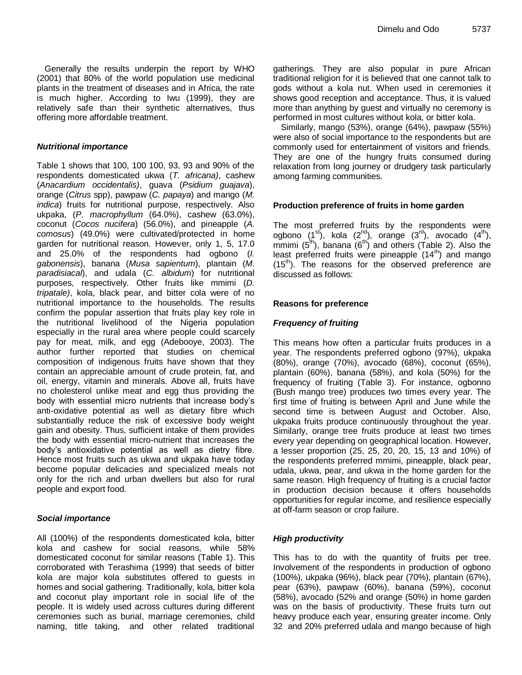Generally the results underpin the report by WHO (2001) that 80% of the world population use medicinal plants in the treatment of diseases and in Africa, the rate is much higher. According to Iwu (1999), they are relatively safe than their synthetic alternatives, thus offering more affordable treatment.

#### *Nutritional importance*

Table 1 shows that 100, 100 100, 93, 93 and 90% of the respondents domesticated ukwa (*T. africana)*, cashew (*Anacardium occidentalis)*, guava (*Psidium guajava*), orange (*Citrus* spp), pawpaw (*C. papaya*) and mango (*M. indica*) fruits for nutritional purpose, respectively. Also ukpaka, (*P. macrophyllum* (64.0%), cashew (63.0%), coconut (*Cocos nucifera*) (56.0%), and pineapple (*A. comosus*) (49.0%) were cultivated/protected in home garden for nutritional reason. However, only 1, 5, 17.0 and 25.0% of the respondents had ogbono (*I. gabonensis*), banana (*Musa sapientum*), plantain (*M. paradisiacal*), and udala (*C. albidum*) for nutritional purposes, respectively. Other fruits like mmimi (*D. tripatale)*, kola, black pear, and bitter cola were of no nutritional importance to the households. The results confirm the popular assertion that fruits play key role in the nutritional livelihood of the Nigeria population especially in the rural area where people could scarcely pay for meat, milk, and egg (Adebooye, 2003). The author further reported that studies on chemical composition of indigenous fruits have shown that they contain an appreciable amount of crude protein, fat, and oil, energy, vitamin and minerals. Above all, fruits have no cholesterol unlike meat and egg thus providing the body with essential micro nutrients that increase body's anti-oxidative potential as well as dietary fibre which substantially reduce the risk of excessive body weight gain and obesity. Thus, sufficient intake of them provides the body with essential micro-nutrient that increases the body's antioxidative potential as well as dietry fibre. Hence most fruits such as ukwa and ukpaka have today become popular delicacies and specialized meals not only for the rich and urban dwellers but also for rural people and export food.

#### *Social importance*

All (100%) of the respondents domesticated kola, bitter kola and cashew for social reasons, while 58% domesticated coconut for similar reasons (Table 1). This corroborated with Terashima (1999) that seeds of bitter kola are major kola substitutes offered to guests in homes and social gathering. Traditionally, kola, bitter kola and coconut play important role in social life of the people. It is widely used across cultures during different ceremonies such as burial, marriage ceremonies, child naming, title taking, and other related traditional gatherings. They are also popular in pure African traditional religion for it is believed that one cannot talk to gods without a kola nut. When used in ceremonies it shows good reception and acceptance. Thus, it is valued more than anything by guest and virtually no ceremony is performed in most cultures without kola, or bitter kola.

Similarly, mango (53%), orange (64%), pawpaw (55%) were also of social importance to the respondents but are commonly used for entertainment of visitors and friends. They are one of the hungry fruits consumed during relaxation from long journey or drudgery task particularly among farming communities.

#### **Production preference of fruits in home garden**

The most preferred fruits by the respondents were ogbono  $(1^{st})$ , kola  $(2^{nd})$ , orange  $(3^{rd})$ , avocado  $(4^{th})$ , mmimi  $(5<sup>th</sup>)$ , banana  $(6<sup>th</sup>)$  and others (Table 2). Also the least preferred fruits were pineapple  $(14<sup>th</sup>)$  and mango  $(15<sup>th</sup>)$ . The reasons for the observed preference are discussed as follows:

#### **Reasons for preference**

#### *Frequency of fruiting*

This means how often a particular fruits produces in a year. The respondents preferred ogbono (97%), ukpaka (80%), orange (70%), avocado (68%), coconut (65%), plantain (60%), banana (58%), and kola (50%) for the frequency of fruiting (Table 3). For instance, ogbonno (Bush mango tree) produces two times every year. The first time of fruiting is between April and June while the second time is between August and October. Also, ukpaka fruits produce continuously throughout the year. Similarly, orange tree fruits produce at least two times every year depending on geographical location. However, a lesser proportion (25, 25, 20, 20, 15, 13 and 10%) of the respondents preferred mmimi, pineapple, black pear, udala, ukwa, pear, and ukwa in the home garden for the same reason. High frequency of fruiting is a crucial factor in production decision because it offers households opportunities for regular income, and resilience especially at off-farm season or crop failure.

#### *High productivity*

This has to do with the quantity of fruits per tree. Involvement of the respondents in production of ogbono (100%), ukpaka (96%), black pear (70%), plantain (67%), pear (63%), pawpaw (60%), banana (59%), coconut (58%), avocado (52% and orange (50%) in home garden was on the basis of productivity. These fruits turn out heavy produce each year, ensuring greater income. Only 32 and 20% preferred udala and mango because of high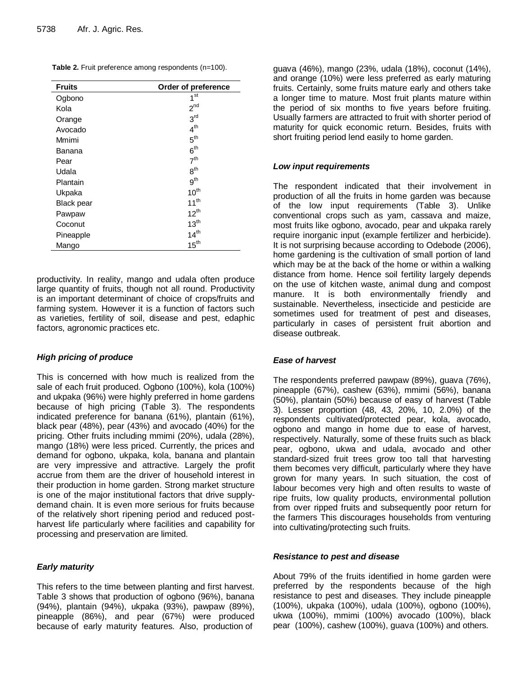**Table 2.** Fruit preference among respondents (n=100).

| <b>Fruits</b>     | Order of preference |
|-------------------|---------------------|
| Ogbono            | $1^{\rm st}$        |
| Kola              | 2 <sup>nd</sup>     |
| Orange            | 3 <sup>rd</sup>     |
| Avocado           | 4 <sup>th</sup>     |
| Mmimi             | 5 <sup>th</sup>     |
| Banana            | 6 <sup>th</sup>     |
| Pear              | 7 <sup>th</sup>     |
| Udala             | 8 <sup>th</sup>     |
| Plantain          | 9 <sup>th</sup>     |
| Ukpaka            | $10^{th}$           |
| <b>Black pear</b> | $11^{th}$           |
| Pawpaw            | $12^{th}$           |
| Coconut           | $13^{th}$           |
| Pineapple         | 14 <sup>th</sup>    |
| Mango             | $15^{\text{th}}$    |

productivity. In reality, mango and udala often produce large quantity of fruits, though not all round. Productivity is an important determinant of choice of crops/fruits and farming system. However it is a function of factors such as varieties, fertility of soil, disease and pest, edaphic factors, agronomic practices etc.

#### *High pricing of produce*

This is concerned with how much is realized from the sale of each fruit produced. Ogbono (100%), kola (100%) and ukpaka (96%) were highly preferred in home gardens because of high pricing (Table 3). The respondents indicated preference for banana (61%), plantain (61%), black pear (48%), pear (43%) and avocado (40%) for the pricing. Other fruits including mmimi (20%), udala (28%), mango (18%) were less priced. Currently, the prices and demand for ogbono, ukpaka, kola, banana and plantain are very impressive and attractive. Largely the profit accrue from them are the driver of household interest in their production in home garden. Strong market structure is one of the major institutional factors that drive supplydemand chain. It is even more serious for fruits because of the relatively short ripening period and reduced postharvest life particularly where facilities and capability for processing and preservation are limited.

#### *Early maturity*

This refers to the time between planting and first harvest. Table 3 shows that production of ogbono (96%), banana (94%), plantain (94%), ukpaka (93%), pawpaw (89%), pineapple (86%), and pear (67%) were produced because of early maturity features. Also, production of guava (46%), mango (23%, udala (18%), coconut (14%), and orange (10%) were less preferred as early maturing fruits. Certainly, some fruits mature early and others take a longer time to mature. Most fruit plants mature within the period of six months to five years before fruiting. Usually farmers are attracted to fruit with shorter period of maturity for quick economic return. Besides, fruits with short fruiting period lend easily to home garden.

#### *Low input requirements*

The respondent indicated that their involvement in production of all the fruits in home garden was because of the low input requirements (Table 3). Unlike conventional crops such as yam, cassava and maize, most fruits like ogbono, avocado, pear and ukpaka rarely require inorganic input (example fertilizer and herbicide). It is not surprising because according to Odebode (2006), home gardening is the cultivation of small portion of land which may be at the back of the home or within a walking distance from home. Hence soil fertility largely depends on the use of kitchen waste, animal dung and compost manure. It is both environmentally friendly and sustainable. Nevertheless, insecticide and pesticide are sometimes used for treatment of pest and diseases, particularly in cases of persistent fruit abortion and disease outbreak.

#### *Ease of harvest*

The respondents preferred pawpaw (89%), guava (76%), pineapple (67%), cashew (63%), mmimi (56%), banana (50%), plantain (50%) because of easy of harvest (Table 3). Lesser proportion (48, 43, 20%, 10, 2.0%) of the respondents cultivated/protected pear, kola, avocado, ogbono and mango in home due to ease of harvest, respectively. Naturally, some of these fruits such as black pear, ogbono, ukwa and udala, avocado and other standard-sized fruit trees grow too tall that harvesting them becomes very difficult, particularly where they have grown for many years. In such situation, the cost of labour becomes very high and often results to waste of ripe fruits, low quality products, environmental pollution from over ripped fruits and subsequently poor return for the farmers This discourages households from venturing into cultivating/protecting such fruits.

#### *Resistance to pest and disease*

About 79% of the fruits identified in home garden were preferred by the respondents because of the high resistance to pest and diseases. They include pineapple (100%), ukpaka (100%), udala (100%), ogbono (100%), ukwa (100%), mmimi (100%) avocado (100%), black pear (100%), cashew (100%), guava (100%) and others.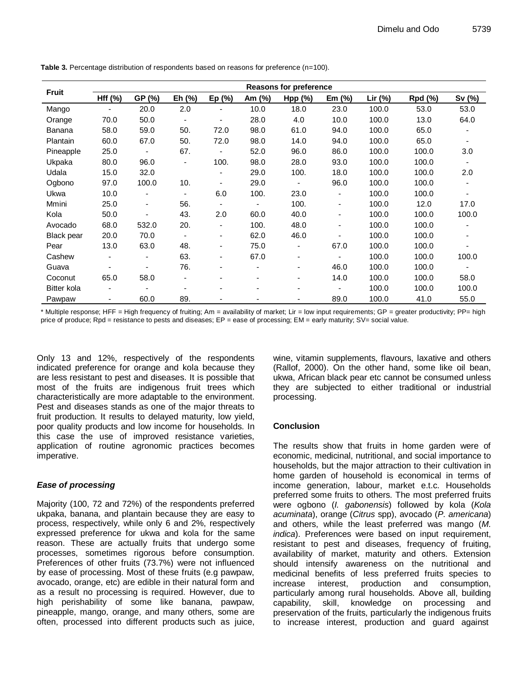| <b>Fruit</b>      | <b>Reasons for preference</b> |                          |                          |                              |                              |                              |           |           |         |                          |
|-------------------|-------------------------------|--------------------------|--------------------------|------------------------------|------------------------------|------------------------------|-----------|-----------|---------|--------------------------|
|                   | Hff (%)                       | GP (%)                   | Eh (%)                   | Ep(%)                        | Am (%)                       | Hpp (%)                      | Em $(\%)$ | Lir $(%)$ | Rpd (%) | Sv (%)                   |
| Mango             | ٠                             | 20.0                     | 2.0                      |                              | 10.0                         | 18.0                         | 23.0      | 100.0     | 53.0    | 53.0                     |
| Orange            | 70.0                          | 50.0                     | $\blacksquare$           | ٠                            | 28.0                         | 4.0                          | 10.0      | 100.0     | 13.0    | 64.0                     |
| <b>Banana</b>     | 58.0                          | 59.0                     | 50.                      | 72.0                         | 98.0                         | 61.0                         | 94.0      | 100.0     | 65.0    | $\blacksquare$           |
| Plantain          | 60.0                          | 67.0                     | 50.                      | 72.0                         | 98.0                         | 14.0                         | 94.0      | 100.0     | 65.0    | $\blacksquare$           |
| Pineapple         | 25.0                          | $\blacksquare$           | 67.                      | $\overline{\phantom{a}}$     | 52.0                         | 96.0                         | 86.0      | 100.0     | 100.0   | 3.0                      |
| Ukpaka            | 80.0                          | 96.0                     | $\overline{\phantom{a}}$ | 100.                         | 98.0                         | 28.0                         | 93.0      | 100.0     | 100.0   | $\blacksquare$           |
| Udala             | 15.0                          | 32.0                     |                          | $\qquad \qquad \blacksquare$ | 29.0                         | 100.                         | 18.0      | 100.0     | 100.0   | 2.0                      |
| Ogbono            | 97.0                          | 100.0                    | 10.                      | $\qquad \qquad \blacksquare$ | 29.0                         | $\blacksquare$               | 96.0      | 100.0     | 100.0   | $\overline{\phantom{a}}$ |
| Ukwa              | 10.0                          | $\overline{\phantom{a}}$ | $\overline{\phantom{a}}$ | 6.0                          | 100.                         | 23.0                         | -         | 100.0     | 100.0   | $\overline{\phantom{0}}$ |
| Mmini             | 25.0                          | $\overline{\phantom{a}}$ | 56.                      | ٠                            | $\blacksquare$               | 100.                         | ۰         | 100.0     | 12.0    | 17.0                     |
| Kola              | 50.0                          |                          | 43.                      | 2.0                          | 60.0                         | 40.0                         | -         | 100.0     | 100.0   | 100.0                    |
| Avocado           | 68.0                          | 532.0                    | 20.                      | $\qquad \qquad \blacksquare$ | 100.                         | 48.0                         | -         | 100.0     | 100.0   | $\overline{\phantom{a}}$ |
| <b>Black pear</b> | 20.0                          | 70.0                     | $\blacksquare$           | Ξ.                           | 62.0                         | 46.0                         |           | 100.0     | 100.0   | ٠                        |
| Pear              | 13.0                          | 63.0                     | 48.                      | -                            | 75.0                         | $\overline{\phantom{a}}$     | 67.0      | 100.0     | 100.0   | ٠                        |
| Cashew            | ٠                             | $\overline{\phantom{a}}$ | 63.                      | $\blacksquare$               | 67.0                         | $\overline{\phantom{a}}$     | -         | 100.0     | 100.0   | 100.0                    |
| Guava             | $\overline{\phantom{a}}$      | $\overline{\phantom{a}}$ | 76.                      | -                            | $\overline{\phantom{a}}$     | $\overline{\phantom{a}}$     | 46.0      | 100.0     | 100.0   | $\blacksquare$           |
| Coconut           | 65.0                          | 58.0                     |                          |                              | ۰                            | $\qquad \qquad \blacksquare$ | 14.0      | 100.0     | 100.0   | 58.0                     |
| Bitter kola       | $\overline{\phantom{a}}$      | $\blacksquare$           | ۰                        |                              | $\qquad \qquad \blacksquare$ | $\blacksquare$               | -         | 100.0     | 100.0   | 100.0                    |
| Pawpaw            | ٠                             | 60.0                     | 89.                      |                              |                              |                              | 89.0      | 100.0     | 41.0    | 55.0                     |

**Table 3.** Percentage distribution of respondents based on reasons for preference (n=100).

\* Multiple response; HFF = High frequency of fruiting; Am = availability of market; Lir = low input requirements; GP = greater productivity; PP= high price of produce; Rpd = resistance to pests and diseases; EP = ease of processing; EM = early maturity; SV= social value.

Only 13 and 12%, respectively of the respondents indicated preference for orange and kola because they are less resistant to pest and diseases. It is possible that most of the fruits are indigenous fruit trees which characteristically are more adaptable to the environment. Pest and diseases stands as one of the major threats to fruit production. It results to delayed maturity, low yield, poor quality products and low income for households. In this case the use of improved resistance varieties, application of routine agronomic practices becomes imperative.

#### *Ease of processing*

Majority (100, 72 and 72%) of the respondents preferred ukpaka, banana, and plantain because they are easy to process, respectively, while only 6 and 2%, respectively expressed preference for ukwa and kola for the same reason. These are actually fruits that undergo some processes, sometimes rigorous before consumption. Preferences of other fruits (73.7%) were not influenced by ease of processing. Most of these fruits (e.g pawpaw, avocado, orange, etc) are edible in their natural form and as a result no processing is required. However, due to high perishability of some like banana, pawpaw, pineapple, mango, orange, and many others, some are often, processed into different products such as juice, wine, vitamin supplements, flavours, laxative and others (Rallof, 2000). On the other hand, some like oil bean, ukwa, African black pear etc cannot be consumed unless they are subjected to either traditional or industrial processing.

#### **Conclusion**

The results show that fruits in home garden were of economic, medicinal, nutritional, and social importance to households, but the major attraction to their cultivation in home garden of household is economical in terms of income generation, labour, market e.t.c. Households preferred some fruits to others. The most preferred fruits were ogbono (*I. gabonensis*) followed by kola (*Kola acuminata*), orange (*Citrus* spp), avocado (*P. americana*) and others, while the least preferred was mango (*M. indica*). Preferences were based on input requirement, resistant to pest and diseases, frequency of fruiting, availability of market, maturity and others. Extension should intensify awareness on the nutritional and medicinal benefits of less preferred fruits species to increase interest, production and consumption, particularly among rural households. Above all, building capability, skill, knowledge on processing and preservation of the fruits, particularly the indigenous fruits to increase interest, production and guard against